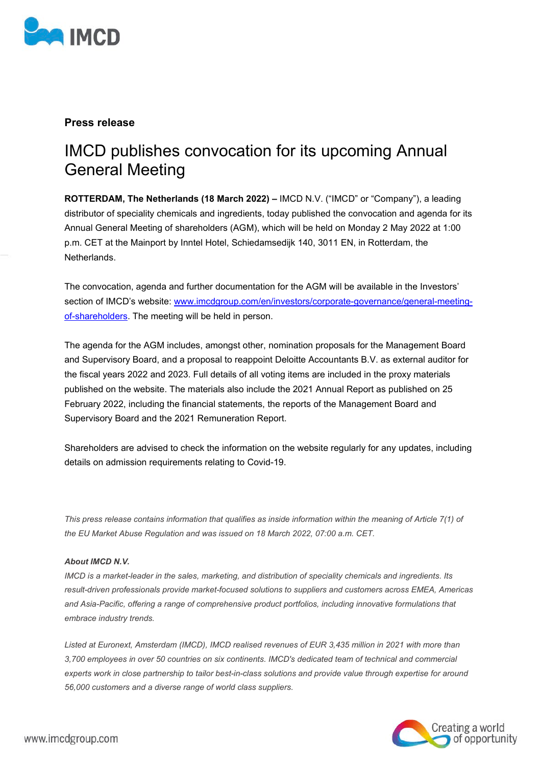

## **Press release**

# IMCD publishes convocation for its upcoming Annual General Meeting

**ROTTERDAM, The Netherlands (18 March 2022) –** IMCD N.V. ("IMCD" or "Company"), a leading distributor of speciality chemicals and ingredients, today published the convocation and agenda for its Annual General Meeting of shareholders (AGM), which will be held on Monday 2 May 2022 at 1:00 p.m. CET at the Mainport by Inntel Hotel, Schiedamsedijk 140, 3011 EN, in Rotterdam, the Netherlands.

The convocation, agenda and further documentation for the AGM will be available in the Investors' section of IMCD's website: [www.imcdgroup.com/en/investors/corporate-governance/general-meeting](http://www.imcdgroup.com/en/investors/corporate-governance/general-meeting-of-shareholders)[of-shareholders.](http://www.imcdgroup.com/en/investors/corporate-governance/general-meeting-of-shareholders) The meeting will be held in person.

The agenda for the AGM includes, amongst other, nomination proposals for the Management Board and Supervisory Board, and a proposal to reappoint Deloitte Accountants B.V. as external auditor for the fiscal years 2022 and 2023. Full details of all voting items are included in the proxy materials published on the website. The materials also include the 2021 Annual Report as published on 25 February 2022, including the financial statements, the reports of the Management Board and Supervisory Board and the 2021 Remuneration Report.

Shareholders are advised to check the information on the website regularly for any updates, including details on admission requirements relating to Covid-19.

*This press release contains information that qualifies as inside information within the meaning of Article 7(1) of the EU Market Abuse Regulation and was issued on 18 March 2022, 07:00 a.m. CET.*

#### *About IMCD N.V.*

*IMCD is a market-leader in the sales, marketing, and distribution of speciality chemicals and ingredients. Its result-driven professionals provide market-focused solutions to suppliers and customers across EMEA, Americas and Asia-Pacific, offering a range of comprehensive product portfolios, including innovative formulations that embrace industry trends.*

*Listed at Euronext, Amsterdam (IMCD), IMCD realised revenues of EUR 3,435 million in 2021 with more than 3,700 employees in over 50 countries on six continents. IMCD's dedicated team of technical and commercial experts work in close partnership to tailor best-in-class solutions and provide value through expertise for around 56,000 customers and a diverse range of world class suppliers.*